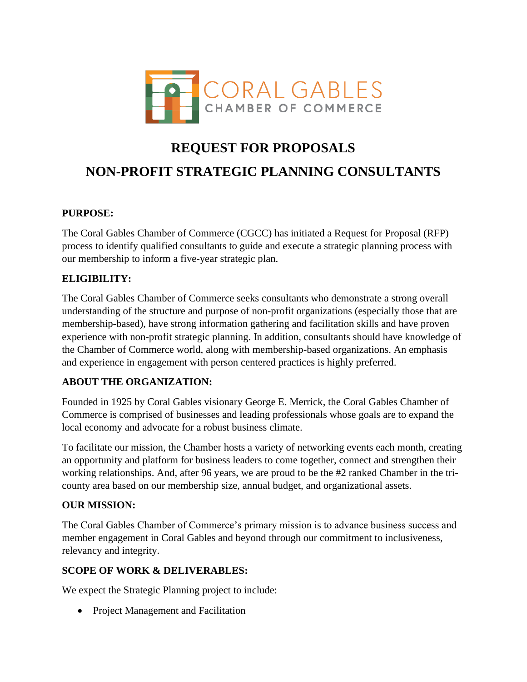

# **REQUEST FOR PROPOSALS NON-PROFIT STRATEGIC PLANNING CONSULTANTS**

## **PURPOSE:**

The Coral Gables Chamber of Commerce (CGCC) has initiated a Request for Proposal (RFP) process to identify qualified consultants to guide and execute a strategic planning process with our membership to inform a five-year strategic plan.

## **ELIGIBILITY:**

The Coral Gables Chamber of Commerce seeks consultants who demonstrate a strong overall understanding of the structure and purpose of non-profit organizations (especially those that are membership-based), have strong information gathering and facilitation skills and have proven experience with non-profit strategic planning. In addition, consultants should have knowledge of the Chamber of Commerce world, along with membership-based organizations. An emphasis and experience in engagement with person centered practices is highly preferred.

#### **ABOUT THE ORGANIZATION:**

Founded in 1925 by Coral Gables visionary George E. Merrick, the Coral Gables Chamber of Commerce is comprised of businesses and leading professionals whose goals are to expand the local economy and advocate for a robust business climate.

To facilitate our mission, the Chamber hosts a variety of networking events each month, creating an opportunity and platform for business leaders to come together, connect and strengthen their working relationships. And, after 96 years, we are proud to be the #2 ranked Chamber in the tricounty area based on our membership size, annual budget, and organizational assets.

#### **OUR MISSION:**

The Coral Gables Chamber of Commerce's primary mission is to advance business success and member engagement in Coral Gables and beyond through our commitment to inclusiveness, relevancy and integrity.

#### **SCOPE OF WORK & DELIVERABLES:**

We expect the Strategic Planning project to include:

• Project Management and Facilitation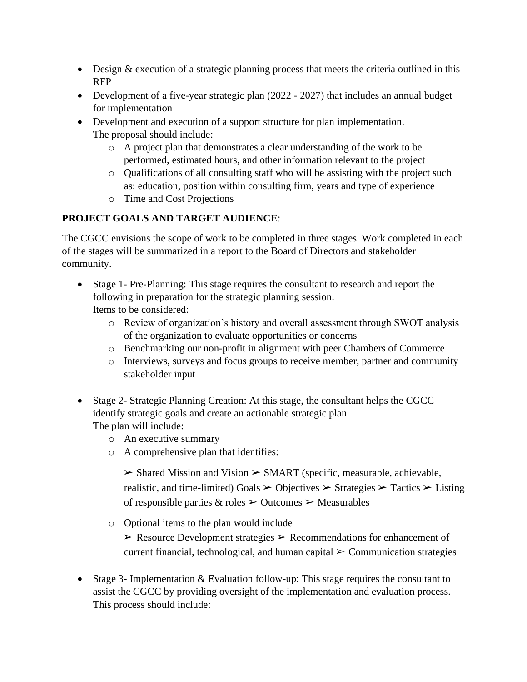- Design & execution of a strategic planning process that meets the criteria outlined in this RFP
- Development of a five-year strategic plan (2022 2027) that includes an annual budget for implementation
- Development and execution of a support structure for plan implementation. The proposal should include:
	- o A project plan that demonstrates a clear understanding of the work to be performed, estimated hours, and other information relevant to the project
	- o Qualifications of all consulting staff who will be assisting with the project such as: education, position within consulting firm, years and type of experience
	- o Time and Cost Projections

# **PROJECT GOALS AND TARGET AUDIENCE**:

The CGCC envisions the scope of work to be completed in three stages. Work completed in each of the stages will be summarized in a report to the Board of Directors and stakeholder community.

- Stage 1- Pre-Planning: This stage requires the consultant to research and report the following in preparation for the strategic planning session. Items to be considered:
	- o Review of organization's history and overall assessment through SWOT analysis of the organization to evaluate opportunities or concerns
	- o Benchmarking our non-profit in alignment with peer Chambers of Commerce
	- o Interviews, surveys and focus groups to receive member, partner and community stakeholder input
- Stage 2- Strategic Planning Creation: At this stage, the consultant helps the CGCC identify strategic goals and create an actionable strategic plan. The plan will include:
	- o An executive summary
	- o A comprehensive plan that identifies:

 $\triangleright$  Shared Mission and Vision  $\triangleright$  SMART (specific, measurable, achievable, realistic, and time-limited) Goals  $\geq$  Objectives  $\geq$  Strategies  $\geq$  Tactics  $\geq$  Listing of responsible parties  $\&$  roles  $\geq$  Outcomes  $\geq$  Measurables

- o Optional items to the plan would include  $\triangleright$  Resource Development strategies  $\triangleright$  Recommendations for enhancement of current financial, technological, and human capital  $\triangleright$  Communication strategies
- Stage 3- Implementation & Evaluation follow-up: This stage requires the consultant to assist the CGCC by providing oversight of the implementation and evaluation process. This process should include: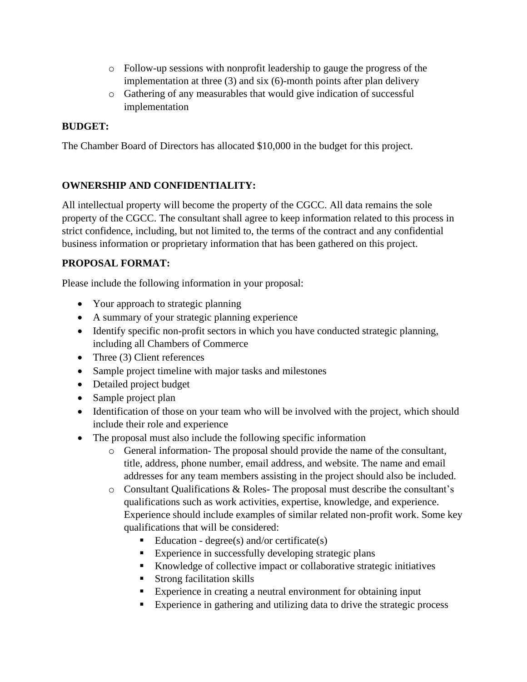- o Follow-up sessions with nonprofit leadership to gauge the progress of the implementation at three (3) and six (6)-month points after plan delivery
- o Gathering of any measurables that would give indication of successful implementation

## **BUDGET:**

The Chamber Board of Directors has allocated \$10,000 in the budget for this project.

## **OWNERSHIP AND CONFIDENTIALITY:**

All intellectual property will become the property of the CGCC. All data remains the sole property of the CGCC. The consultant shall agree to keep information related to this process in strict confidence, including, but not limited to, the terms of the contract and any confidential business information or proprietary information that has been gathered on this project.

# **PROPOSAL FORMAT:**

Please include the following information in your proposal:

- Your approach to strategic planning
- A summary of your strategic planning experience
- Identify specific non-profit sectors in which you have conducted strategic planning, including all Chambers of Commerce
- Three (3) Client references
- Sample project timeline with major tasks and milestones
- Detailed project budget
- Sample project plan
- Identification of those on your team who will be involved with the project, which should include their role and experience
- The proposal must also include the following specific information
	- o General information- The proposal should provide the name of the consultant, title, address, phone number, email address, and website. The name and email addresses for any team members assisting in the project should also be included.
	- o Consultant Qualifications & Roles- The proposal must describe the consultant's qualifications such as work activities, expertise, knowledge, and experience. Experience should include examples of similar related non-profit work. Some key qualifications that will be considered:
		- Education degree(s) and/or certificate(s)
		- Experience in successfully developing strategic plans
		- Knowledge of collective impact or collaborative strategic initiatives
		- Strong facilitation skills
		- Experience in creating a neutral environment for obtaining input
		- Experience in gathering and utilizing data to drive the strategic process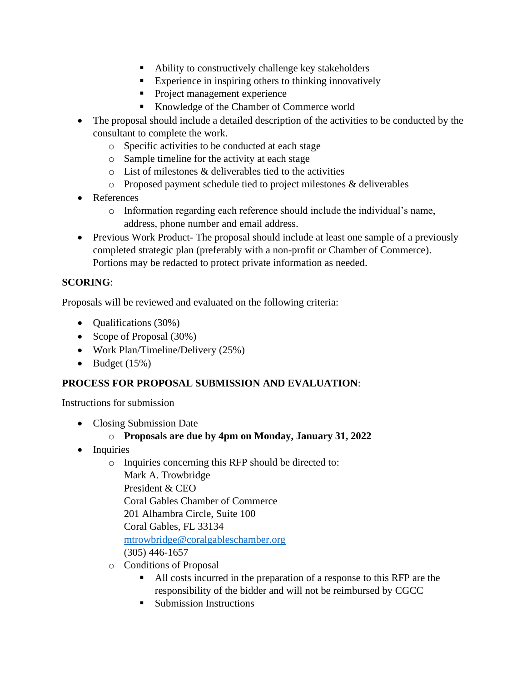- Ability to constructively challenge key stakeholders
- Experience in inspiring others to thinking innovatively
- **•** Project management experience
- Knowledge of the Chamber of Commerce world
- The proposal should include a detailed description of the activities to be conducted by the consultant to complete the work.
	- o Specific activities to be conducted at each stage
	- o Sample timeline for the activity at each stage
	- o List of milestones & deliverables tied to the activities
	- o Proposed payment schedule tied to project milestones & deliverables
- References
	- o Information regarding each reference should include the individual's name, address, phone number and email address.
- Previous Work Product- The proposal should include at least one sample of a previously completed strategic plan (preferably with a non-profit or Chamber of Commerce). Portions may be redacted to protect private information as needed.

## **SCORING**:

Proposals will be reviewed and evaluated on the following criteria:

- **Qualifications** (30%)
- Scope of Proposal (30%)
- Work Plan/Timeline/Delivery (25%)
- Budget  $(15%)$

#### **PROCESS FOR PROPOSAL SUBMISSION AND EVALUATION**:

Instructions for submission

- Closing Submission Date
	- o **Proposals are due by 4pm on Monday, January 31, 2022**
- Inquiries
	- o Inquiries concerning this RFP should be directed to: Mark A. Trowbridge President & CEO Coral Gables Chamber of Commerce 201 Alhambra Circle, Suite 100 Coral Gables, FL 33134 [mtrowbridge@coralgableschamber.org](mailto:mtrowbridge@coralgableschamber.org) (305) 446-1657
	- o Conditions of Proposal
		- All costs incurred in the preparation of a response to this RFP are the responsibility of the bidder and will not be reimbursed by CGCC
		- Submission Instructions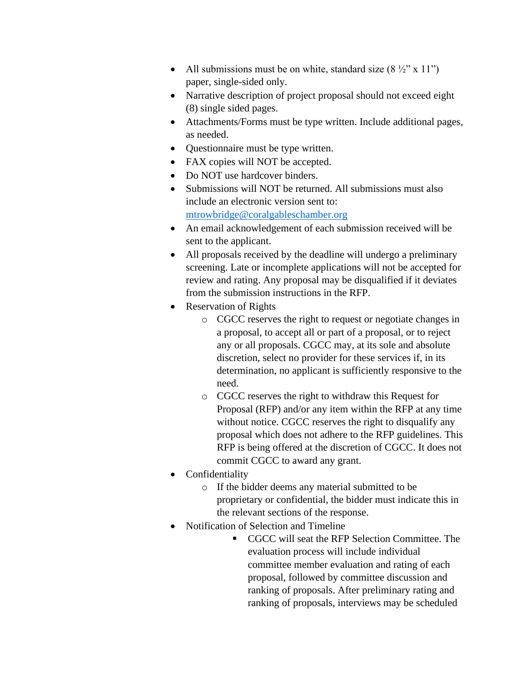- All submissions must be on white, standard size  $(8 \frac{1}{2}$ " x 11") paper, single-sided only.
- Narrative description of project proposal should not exceed eight (8) single sided pages.
- Attachments/Forms must be type written. Include additional pages, as needed.
- Questionnaire must be type written.
- FAX copies will NOT be accepted.
- Do NOT use hardcover binders.
- Submissions will NOT be returned. All submissions must also include an electronic version sent to: [mtrowbridge@coralgableschamber.org](mailto:mtrowbridge@coralgableschamber.org)
- An email acknowledgement of each submission received will be sent to the applicant.
- All proposals received by the deadline will undergo a preliminary screening. Late or incomplete applications will not be accepted for review and rating. Any proposal may be disqualified if it deviates from the submission instructions in the RFP.
- Reservation of Rights
	- o CGCC reserves the right to request or negotiate changes in a proposal, to accept all or part of a proposal, or to reject any or all proposals. CGCC may, at its sole and absolute discretion, select no provider for these services if, in its determination, no applicant is sufficiently responsive to the need.
	- o CGCC reserves the right to withdraw this Request for Proposal (RFP) and/or any item within the RFP at any time without notice. CGCC reserves the right to disqualify any proposal which does not adhere to the RFP guidelines. This RFP is being offered at the discretion of CGCC. It does not commit CGCC to award any grant.
- **Confidentiality** 
	- o If the bidder deems any material submitted to be proprietary or confidential, the bidder must indicate this in the relevant sections of the response.
- Notification of Selection and Timeline
	- CGCC will seat the RFP Selection Committee. The evaluation process will include individual committee member evaluation and rating of each proposal, followed by committee discussion and ranking of proposals. After preliminary rating and ranking of proposals, interviews may be scheduled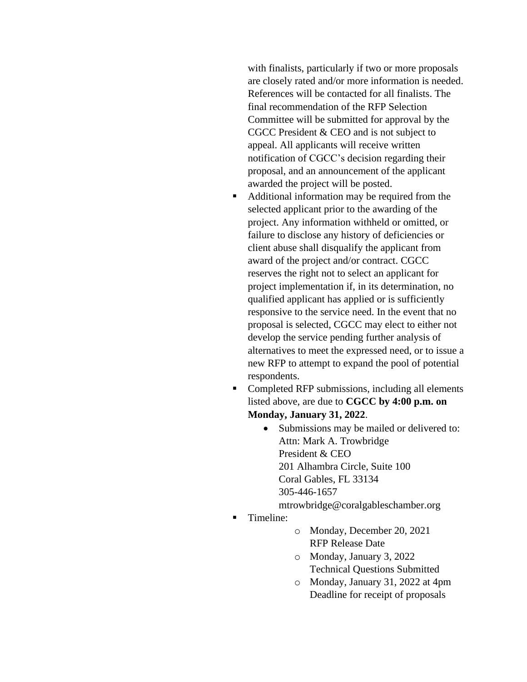with finalists, particularly if two or more proposals are closely rated and/or more information is needed. References will be contacted for all finalists. The final recommendation of the RFP Selection Committee will be submitted for approval by the CGCC President & CEO and is not subject to appeal. All applicants will receive written notification of CGCC's decision regarding their proposal, and an announcement of the applicant awarded the project will be posted.

- Additional information may be required from the selected applicant prior to the awarding of the project. Any information withheld or omitted, or failure to disclose any history of deficiencies or client abuse shall disqualify the applicant from award of the project and/or contract. CGCC reserves the right not to select an applicant for project implementation if, in its determination, no qualified applicant has applied or is sufficiently responsive to the service need. In the event that no proposal is selected, CGCC may elect to either not develop the service pending further analysis of alternatives to meet the expressed need, or to issue a new RFP to attempt to expand the pool of potential respondents.
- Completed RFP submissions, including all elements listed above, are due to **CGCC by 4:00 p.m. on Monday, January 31, 2022**.
	- Submissions may be mailed or delivered to: Attn: Mark A. Trowbridge President & CEO 201 Alhambra Circle, Suite 100 Coral Gables, FL 33134 305-446-1657

mtrowbridge@coralgableschamber.org

- Timeline:
- o Monday, December 20, 2021 RFP Release Date
- o Monday, January 3, 2022 Technical Questions Submitted
- o Monday, January 31, 2022 at 4pm Deadline for receipt of proposals